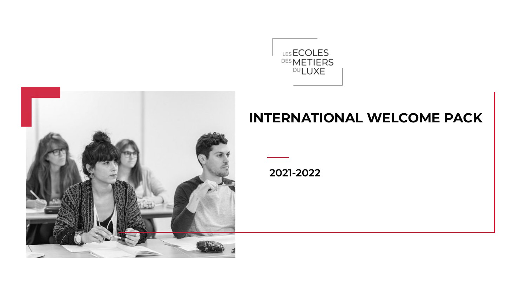



### **INTERNATIONAL WELCOME PACK**

12/02/2021 **2021-2022**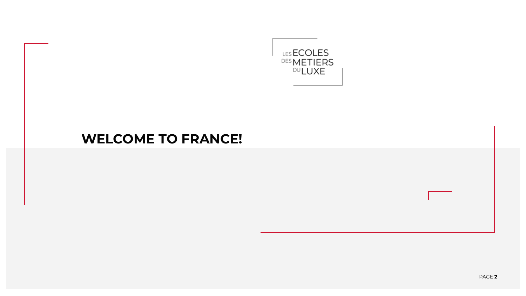

### **WELCOME TO FRANCE!**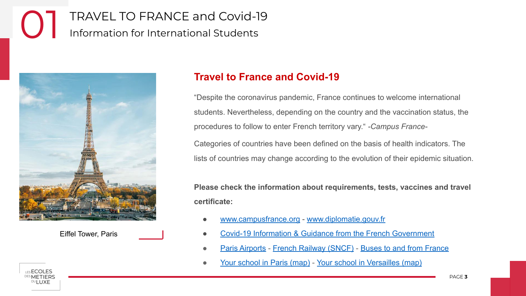# TRAVEL TO FRANCE and Covid-19<br>Information for International Students



Eiffel Tower, Paris

#### **Travel to France and Covid-19**

"Despite the coronavirus pandemic, France continues to welcome international students. Nevertheless, depending on the country and the vaccination status, the procedures to follow to enter French territory vary." *-Campus France-*

Categories of countries have been defined on the basis of health indicators. The lists of countries may change according to the evolution of their epidemic situation.

**Please check the information about requirements, tests, vaccines and travel certificate:**

- [www.campusfrance.org](https://www.campusfrance.org/en/travel-to-france-information-for-international-students-and-researchers) - [www.diplomatie.gouv.fr](https://www.diplomatie.gouv.fr/en/coming-to-france/coronavirus-advice-for-foreign-nationals-in-france/)
- [Covid-19 Information & Guidance from the French Government](https://www.gouvernement.fr/en/coronavirus-covid-19)
- [Paris Airports](https://www.parisaeroport.fr/en) - [French Railway \(SNCF\)](https://www.sncf.com/en) [Buses to and from France](https://www.checkmybus.com/france)
- [Your school in Paris \(map\)](https://www.google.fr/maps/place/La+Fabrique/@48.886631,2.2874417,15z/data=!4m5!3m4!1s0x0:0x4d0b00c3201b0979!8m2!3d48.8864701!4d2.2873984) [Your school in Versailles \(map\)](https://www.google.fr/maps/place/ISIPCA/@48.8164387,2.1421443,15z/data=!4m2!3m1!1s0x0:0x92a6832c4ab40d19?sa=X&ved=2ahUKEwiglKfVtNHxAhVRCxoKHQE2AiUQ_BJ6BAhhEAU)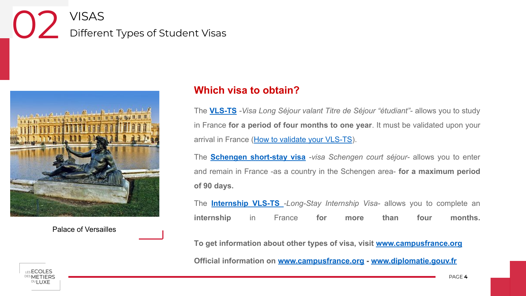# VISAS<br>Different Types of Student Visas



Palace of Versailles

#### **Which visa to obtain?**

The **[VLS-TS](https://www.campusfrance.org/en/student-long-stay-visa)** *-Visa Long Séjour valant Titre de Séjour "étudiant"-* allows you to study in France **for a period of four months to one year**. It must be validated upon your arrival in France [\(How to validate your VLS-TS](https://www.campusfrance.org/en/how-to-validate-your-long-stay-visa-visa-long-sejour-upon-your-arrival-in-france)).

The **[Schengen short-stay visa](https://www.campusfrance.org/en/the-schengen-short-stay-visa)** *-visa Schengen court séjour-* allows you to enter and remain in France -as a country in the Schengen area- **for a maximum period of 90 days.**

The **[Internship VLS-TS](https://www.campusfrance.org/en/long-stay-internship-visa)** *-Long-Stay Internship Visa-* allows you to complete an **internship** in France **for more than four months.**

**To get information about other types of visa, visit [www.campusfrance.org](https://www.campusfrance.org/en/the-different-types-of-visas)**

**Official information on [www.campusfrance.org](https://www.campusfrance.org/en/travel-to-france-information-for-international-students-and-researchers) - [www.diplomatie.gouv.fr](https://www.diplomatie.gouv.fr/en/coming-to-france/coronavirus-advice-for-foreign-nationals-in-france/)**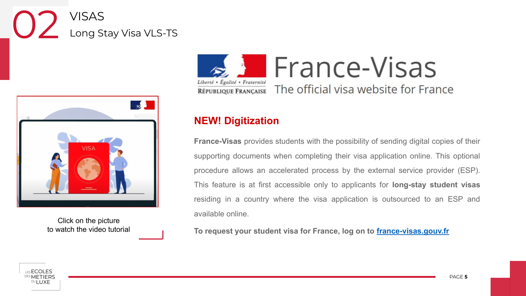# VISAS<br>Long Stay Visa VLS-TS



Click on the picture to watch the video tutorial



#### **NEW! Digitization**

**France-Visas** provides students with the possibility of sending digital copies of their supporting documents when completing their visa application online. This optional procedure allows an accelerated process by the external service provider (ESP). This feature is at first accessible only to applicants for **long-stay student visas** residing in a country where the visa application is outsourced to an ESP and available online.

**To request your student visa for France, log on to [france-visas.gouv.fr](https://france-visas.gouv.fr/en_US/web/france-visas/welcome-page)**

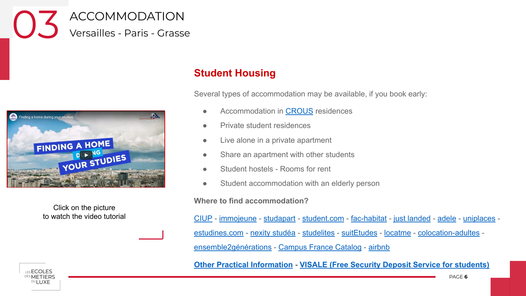ACCOMMODATION<br>Versailles - Paris - Grasse



Click on the picture to watch the video tutorial

LES **ECOLES METIERS** ™I UXF

#### **Student Housing**

Several types of accommodation may be available, if you book early:

- Accommodation in [CROUS](https://international.lescrous.fr/accomodation/) residences
- Private student residences
- Live alone in a private apartment
- Share an apartment with other students
- Student hostels Rooms for rent
- Student accommodation with an elderly person

**Where to find accommodation?**

[CIUP](https://www.ciup.fr/) - [immojeune](https://www.immojeune.com/en/) - [studapart](https://www.studapart.com/en/student-accommodation) - [student.com](https://www.student.com/fr) - [fac-habitat](https://www.fac-habitat.com/en/student-housing) - [just landed](https://www.justlanded.com/english/France/France-Guide/Housing-Rentals/Student-accommodation) - [adele](https://www.adele.org/en/) - [uniplaces](https://www.uniplaces.com/accommodation/france) [estudines.com](https://www.estudines.com/) - [nexity studéa](https://www.nexity-studea.com/) - [studelites](https://www.studelites.com/fr/) - [suitEtudes](https://www.suitetudes.com/) - [locatme](https://www.locatme.fr/) - [colocation-adultes](https://www.colocation-adulte.fr/logement-intergenerationnel-paris/senior-etudiant/paris)  [ensemble2générations](https://ensemble2generations.fr/etudiants/logement-chez-un-senior/) - [Campus France Catalog](https://www.campusfrance.org/en/student-housing-france) - [airbnb](https://www.airbnb.fr/)

**[Other Practical Information](https://www.expatica.com/fr/living/household/) - [VISALE \(Free Security Deposit Service for students\)](https://www.campusfrance.org/en/VISALE-free-security-deposit-for-students)**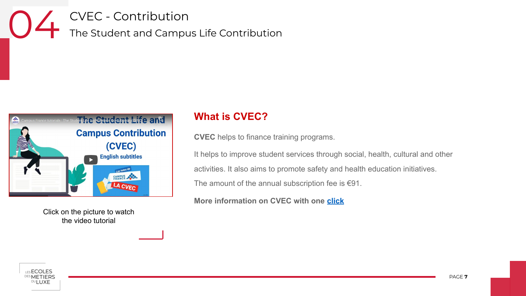CVEC - Contribution 04 The Student and Campus Life Contribution



Click on the picture to watch the video tutorial

#### **What is CVEC?**

**CVEC** helps to finance training programs.

It helps to improve student services through social, health, cultural and other activities. It also aims to promote safety and health education initiatives.

The amount of the annual subscription fee is  $€91$ .

**More information on CVEC with one [click](https://www.campusfrance.org/en/10-things-you-need-to-know-about-the-student-and-campus-life-contribution-cvec)**

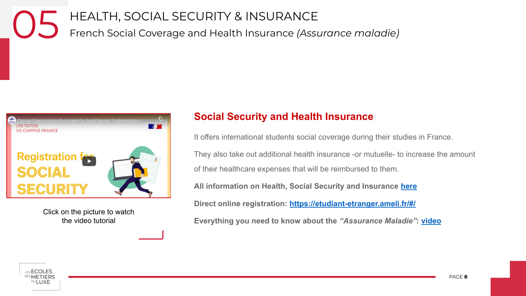## HEALTH, SOCIAL SECURITY & INSURANCE 05 French Social Coverage and Health Insurance *(Assurance maladie)*



Click on the picture to watch the video tutorial

#### **Social Security and Health Insurance**

It offers international students social coverage during their studies in France.

They also take out additional health insurance -or mutuelle- to increase the amount of their healthcare expenses that will be reimbursed to them.

**All information on Health, Social Security and Insurance [here](https://www.campusfrance.org/en/healthcare-student-social-security)**

**Direct online registration:<https://etudiant-etranger.ameli.fr/#/>**

**Everything you need to know about the** *"Assurance Maladie"***: [video](https://youtu.be/XXaj44iB91w?list=PLpm2evF1qaJe_oq0a-LMIKujAihwAtVEy)**

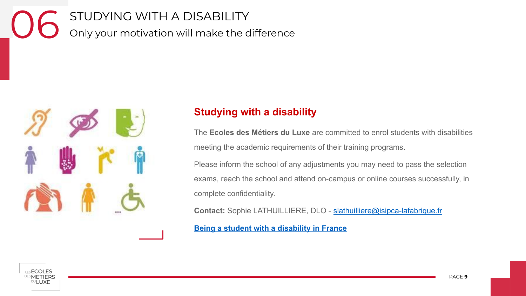STUDYING WITH A DISABILITY<br>Only your motivation will make the difference



#### **Studying with a disability**

The **Ecoles des Métiers du Luxe** are committed to enrol students with disabilities meeting the academic requirements of their training programs.

Please inform the school of any adjustments you may need to pass the selection exams, reach the school and attend on-campus or online courses successfully, in complete confidentiality.

**Contact:** Sophie LATHUILLIERE, DLO - [slathuilliere@isipca-lafabrique.fr](mailto:slathuilliere@isipca-lafabrique.fr)

**[Being a student with a disability in France](https://www.campusfrance.org/en/disabled-student-France)**

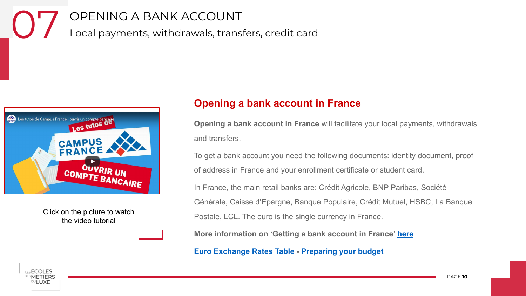OPENING A BANK ACCOUNT<br>Local payments, withdrawals, transfers, credit card



Click on the picture to watch the video tutorial

#### **Opening a bank account in France**

**Opening a bank account in France** will facilitate your local payments, withdrawals and transfers.

To get a bank account you need the following documents: identity document, proof of address in France and your enrollment certificate or student card.

In France, the main retail banks are: Crédit Agricole, BNP Paribas, Société Générale, Caisse d'Epargne, Banque Populaire, Crédit Mutuel, HSBC, La Banque Postale, LCL. The euro is the single currency in France.

**More information on 'Getting a bank account in France' [here](https://www.campusfrance.org/en/getting-a-bank-account)**

**[Euro Exchange Rates Table](https://www.x-rates.com/table/?from=EUR&amount=1) - [Preparing your budget](https://www.campusfrance.org/en/preparing-budget-student-France)**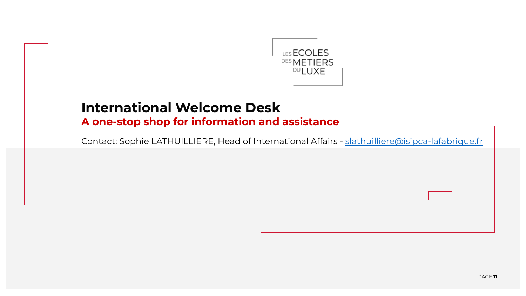

### **International Welcome Desk**

**A one-stop shop for information and assistance**

Contact: Sophie LATHUILLIERE, Head of International Affairs - [slathuilliere@isipca-lafabrique.fr](mailto:slathuilliere@isipca-lafabrique.fr)